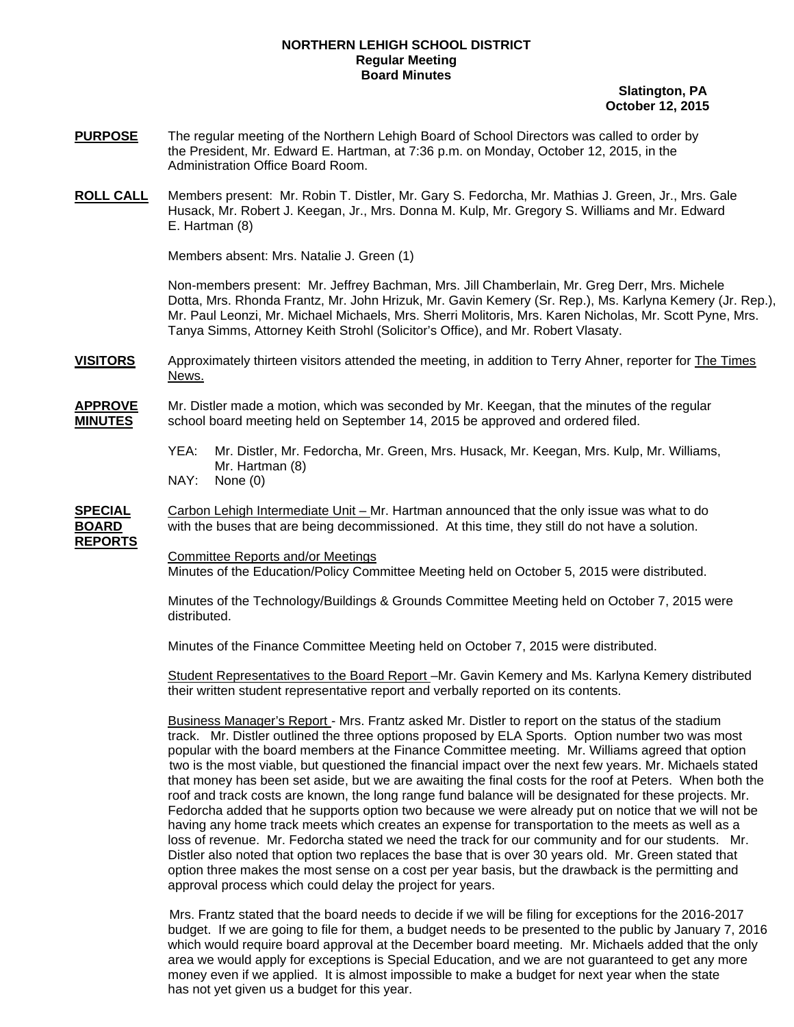## **NORTHERN LEHIGH SCHOOL DISTRICT Regular Meeting Board Minutes**

 **Slatington, PA October 12, 2015** 

- **PURPOSE** The regular meeting of the Northern Lehigh Board of School Directors was called to order by the President, Mr. Edward E. Hartman, at 7:36 p.m. on Monday, October 12, 2015, in the Administration Office Board Room.
- **ROLL CALL** Members present: Mr. Robin T. Distler, Mr. Gary S. Fedorcha, Mr. Mathias J. Green, Jr., Mrs. Gale Husack, Mr. Robert J. Keegan, Jr., Mrs. Donna M. Kulp, Mr. Gregory S. Williams and Mr. Edward E. Hartman (8)

Members absent: Mrs. Natalie J. Green (1)

Non-members present: Mr. Jeffrey Bachman, Mrs. Jill Chamberlain, Mr. Greg Derr, Mrs. Michele Dotta, Mrs. Rhonda Frantz, Mr. John Hrizuk, Mr. Gavin Kemery (Sr. Rep.), Ms. Karlyna Kemery (Jr. Rep.), Mr. Paul Leonzi, Mr. Michael Michaels, Mrs. Sherri Molitoris, Mrs. Karen Nicholas, Mr. Scott Pyne, Mrs. Tanya Simms, Attorney Keith Strohl (Solicitor's Office), and Mr. Robert Vlasaty.

**VISITORS** Approximately thirteen visitors attended the meeting, in addition to Terry Ahner, reporter for The Times News.

**APPROVE** Mr. Distler made a motion, which was seconded by Mr. Keegan, that the minutes of the regular **MINUTES** school board meeting held on September 14, 2015 be approved and ordered filed.

- YEA: Mr. Distler, Mr. Fedorcha, Mr. Green, Mrs. Husack, Mr. Keegan, Mrs. Kulp, Mr. Williams, Mr. Hartman (8)
- NAY: None (0)

**SPECIAL** Carbon Lehigh Intermediate Unit – Mr. Hartman announced that the only issue was what to do **BOARD** with the buses that are being decommissioned. At this time, they still do not have a solution. **REPORTS**

Committee Reports and/or Meetings

Minutes of the Education/Policy Committee Meeting held on October 5, 2015 were distributed.

Minutes of the Technology/Buildings & Grounds Committee Meeting held on October 7, 2015 were distributed.

Minutes of the Finance Committee Meeting held on October 7, 2015 were distributed.

 Student Representatives to the Board Report –Mr. Gavin Kemery and Ms. Karlyna Kemery distributed their written student representative report and verbally reported on its contents.

 Business Manager's Report - Mrs. Frantz asked Mr. Distler to report on the status of the stadium track. Mr. Distler outlined the three options proposed by ELA Sports. Option number two was most popular with the board members at the Finance Committee meeting. Mr. Williams agreed that option two is the most viable, but questioned the financial impact over the next few years. Mr. Michaels stated that money has been set aside, but we are awaiting the final costs for the roof at Peters. When both the roof and track costs are known, the long range fund balance will be designated for these projects. Mr. Fedorcha added that he supports option two because we were already put on notice that we will not be having any home track meets which creates an expense for transportation to the meets as well as a loss of revenue. Mr. Fedorcha stated we need the track for our community and for our students. Mr. Distler also noted that option two replaces the base that is over 30 years old. Mr. Green stated that option three makes the most sense on a cost per year basis, but the drawback is the permitting and approval process which could delay the project for years.

 Mrs. Frantz stated that the board needs to decide if we will be filing for exceptions for the 2016-2017 budget. If we are going to file for them, a budget needs to be presented to the public by January 7, 2016 which would require board approval at the December board meeting. Mr. Michaels added that the only area we would apply for exceptions is Special Education, and we are not guaranteed to get any more money even if we applied. It is almost impossible to make a budget for next year when the state has not yet given us a budget for this year.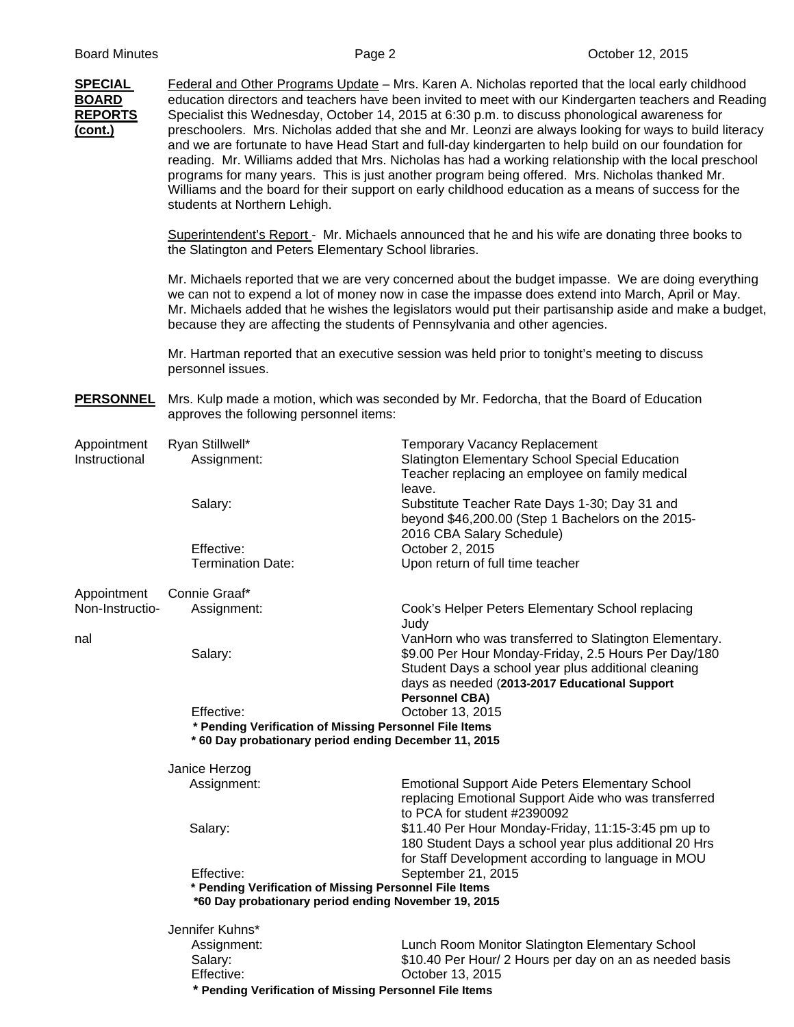| <b>SPECIAL</b><br><b>BOARD</b><br><b>REPORTS</b><br>(cont.) | Federal and Other Programs Update - Mrs. Karen A. Nicholas reported that the local early childhood<br>education directors and teachers have been invited to meet with our Kindergarten teachers and Reading<br>Specialist this Wednesday, October 14, 2015 at 6:30 p.m. to discuss phonological awareness for<br>preschoolers. Mrs. Nicholas added that she and Mr. Leonzi are always looking for ways to build literacy<br>and we are fortunate to have Head Start and full-day kindergarten to help build on our foundation for<br>reading. Mr. Williams added that Mrs. Nicholas has had a working relationship with the local preschool<br>programs for many years. This is just another program being offered. Mrs. Nicholas thanked Mr.<br>Williams and the board for their support on early childhood education as a means of success for the<br>students at Northern Lehigh.<br>Superintendent's Report - Mr. Michaels announced that he and his wife are donating three books to<br>the Slatington and Peters Elementary School libraries. |                                                                                                                                                                                                                                                                                                                                                                                                   |  |  |
|-------------------------------------------------------------|-----------------------------------------------------------------------------------------------------------------------------------------------------------------------------------------------------------------------------------------------------------------------------------------------------------------------------------------------------------------------------------------------------------------------------------------------------------------------------------------------------------------------------------------------------------------------------------------------------------------------------------------------------------------------------------------------------------------------------------------------------------------------------------------------------------------------------------------------------------------------------------------------------------------------------------------------------------------------------------------------------------------------------------------------------|---------------------------------------------------------------------------------------------------------------------------------------------------------------------------------------------------------------------------------------------------------------------------------------------------------------------------------------------------------------------------------------------------|--|--|
|                                                             |                                                                                                                                                                                                                                                                                                                                                                                                                                                                                                                                                                                                                                                                                                                                                                                                                                                                                                                                                                                                                                                     |                                                                                                                                                                                                                                                                                                                                                                                                   |  |  |
|                                                             |                                                                                                                                                                                                                                                                                                                                                                                                                                                                                                                                                                                                                                                                                                                                                                                                                                                                                                                                                                                                                                                     | Mr. Michaels reported that we are very concerned about the budget impasse. We are doing everything<br>we can not to expend a lot of money now in case the impasse does extend into March, April or May.<br>Mr. Michaels added that he wishes the legislators would put their partisanship aside and make a budget,<br>because they are affecting the students of Pennsylvania and other agencies. |  |  |
|                                                             | Mr. Hartman reported that an executive session was held prior to tonight's meeting to discuss<br>personnel issues.                                                                                                                                                                                                                                                                                                                                                                                                                                                                                                                                                                                                                                                                                                                                                                                                                                                                                                                                  |                                                                                                                                                                                                                                                                                                                                                                                                   |  |  |
| <b>PERSONNEL</b>                                            | Mrs. Kulp made a motion, which was seconded by Mr. Fedorcha, that the Board of Education<br>approves the following personnel items:                                                                                                                                                                                                                                                                                                                                                                                                                                                                                                                                                                                                                                                                                                                                                                                                                                                                                                                 |                                                                                                                                                                                                                                                                                                                                                                                                   |  |  |
| Appointment<br>Instructional                                | Ryan Stillwell*<br>Assignment:                                                                                                                                                                                                                                                                                                                                                                                                                                                                                                                                                                                                                                                                                                                                                                                                                                                                                                                                                                                                                      | <b>Temporary Vacancy Replacement</b><br>Slatington Elementary School Special Education<br>Teacher replacing an employee on family medical<br>leave.                                                                                                                                                                                                                                               |  |  |
|                                                             | Salary:                                                                                                                                                                                                                                                                                                                                                                                                                                                                                                                                                                                                                                                                                                                                                                                                                                                                                                                                                                                                                                             | Substitute Teacher Rate Days 1-30; Day 31 and<br>beyond \$46,200.00 (Step 1 Bachelors on the 2015-<br>2016 CBA Salary Schedule)                                                                                                                                                                                                                                                                   |  |  |
|                                                             | Effective:<br><b>Termination Date:</b>                                                                                                                                                                                                                                                                                                                                                                                                                                                                                                                                                                                                                                                                                                                                                                                                                                                                                                                                                                                                              | October 2, 2015<br>Upon return of full time teacher                                                                                                                                                                                                                                                                                                                                               |  |  |
|                                                             | Connie Graaf*                                                                                                                                                                                                                                                                                                                                                                                                                                                                                                                                                                                                                                                                                                                                                                                                                                                                                                                                                                                                                                       |                                                                                                                                                                                                                                                                                                                                                                                                   |  |  |
| Appointment<br>Non-Instructio-                              | Assignment:                                                                                                                                                                                                                                                                                                                                                                                                                                                                                                                                                                                                                                                                                                                                                                                                                                                                                                                                                                                                                                         | Cook's Helper Peters Elementary School replacing<br>Judy                                                                                                                                                                                                                                                                                                                                          |  |  |
| nal                                                         | Salary:                                                                                                                                                                                                                                                                                                                                                                                                                                                                                                                                                                                                                                                                                                                                                                                                                                                                                                                                                                                                                                             | VanHorn who was transferred to Slatington Elementary.<br>\$9.00 Per Hour Monday-Friday, 2.5 Hours Per Day/180<br>Student Days a school year plus additional cleaning<br>days as needed (2013-2017 Educational Support<br><b>Personnel CBA)</b>                                                                                                                                                    |  |  |
|                                                             | Effective:                                                                                                                                                                                                                                                                                                                                                                                                                                                                                                                                                                                                                                                                                                                                                                                                                                                                                                                                                                                                                                          | October 13, 2015                                                                                                                                                                                                                                                                                                                                                                                  |  |  |
|                                                             | * Pending Verification of Missing Personnel File Items<br>* 60 Day probationary period ending December 11, 2015                                                                                                                                                                                                                                                                                                                                                                                                                                                                                                                                                                                                                                                                                                                                                                                                                                                                                                                                     |                                                                                                                                                                                                                                                                                                                                                                                                   |  |  |
|                                                             | Janice Herzog                                                                                                                                                                                                                                                                                                                                                                                                                                                                                                                                                                                                                                                                                                                                                                                                                                                                                                                                                                                                                                       |                                                                                                                                                                                                                                                                                                                                                                                                   |  |  |
|                                                             | Assignment:                                                                                                                                                                                                                                                                                                                                                                                                                                                                                                                                                                                                                                                                                                                                                                                                                                                                                                                                                                                                                                         | <b>Emotional Support Aide Peters Elementary School</b><br>replacing Emotional Support Aide who was transferred<br>to PCA for student #2390092                                                                                                                                                                                                                                                     |  |  |
|                                                             | Salary:                                                                                                                                                                                                                                                                                                                                                                                                                                                                                                                                                                                                                                                                                                                                                                                                                                                                                                                                                                                                                                             | \$11.40 Per Hour Monday-Friday, 11:15-3:45 pm up to<br>180 Student Days a school year plus additional 20 Hrs<br>for Staff Development according to language in MOU                                                                                                                                                                                                                                |  |  |
|                                                             | Effective:<br>September 21, 2015<br>* Pending Verification of Missing Personnel File Items<br>*60 Day probationary period ending November 19, 2015                                                                                                                                                                                                                                                                                                                                                                                                                                                                                                                                                                                                                                                                                                                                                                                                                                                                                                  |                                                                                                                                                                                                                                                                                                                                                                                                   |  |  |
|                                                             | Jennifer Kuhns*                                                                                                                                                                                                                                                                                                                                                                                                                                                                                                                                                                                                                                                                                                                                                                                                                                                                                                                                                                                                                                     |                                                                                                                                                                                                                                                                                                                                                                                                   |  |  |
|                                                             | Assignment:                                                                                                                                                                                                                                                                                                                                                                                                                                                                                                                                                                                                                                                                                                                                                                                                                                                                                                                                                                                                                                         | Lunch Room Monitor Slatington Elementary School                                                                                                                                                                                                                                                                                                                                                   |  |  |
|                                                             | Salary:                                                                                                                                                                                                                                                                                                                                                                                                                                                                                                                                                                                                                                                                                                                                                                                                                                                                                                                                                                                                                                             | \$10.40 Per Hour/ 2 Hours per day on an as needed basis                                                                                                                                                                                                                                                                                                                                           |  |  |
|                                                             | Effective:                                                                                                                                                                                                                                                                                                                                                                                                                                                                                                                                                                                                                                                                                                                                                                                                                                                                                                                                                                                                                                          | October 13, 2015                                                                                                                                                                                                                                                                                                                                                                                  |  |  |
|                                                             | * Pending Verification of Missing Personnel File Items                                                                                                                                                                                                                                                                                                                                                                                                                                                                                                                                                                                                                                                                                                                                                                                                                                                                                                                                                                                              |                                                                                                                                                                                                                                                                                                                                                                                                   |  |  |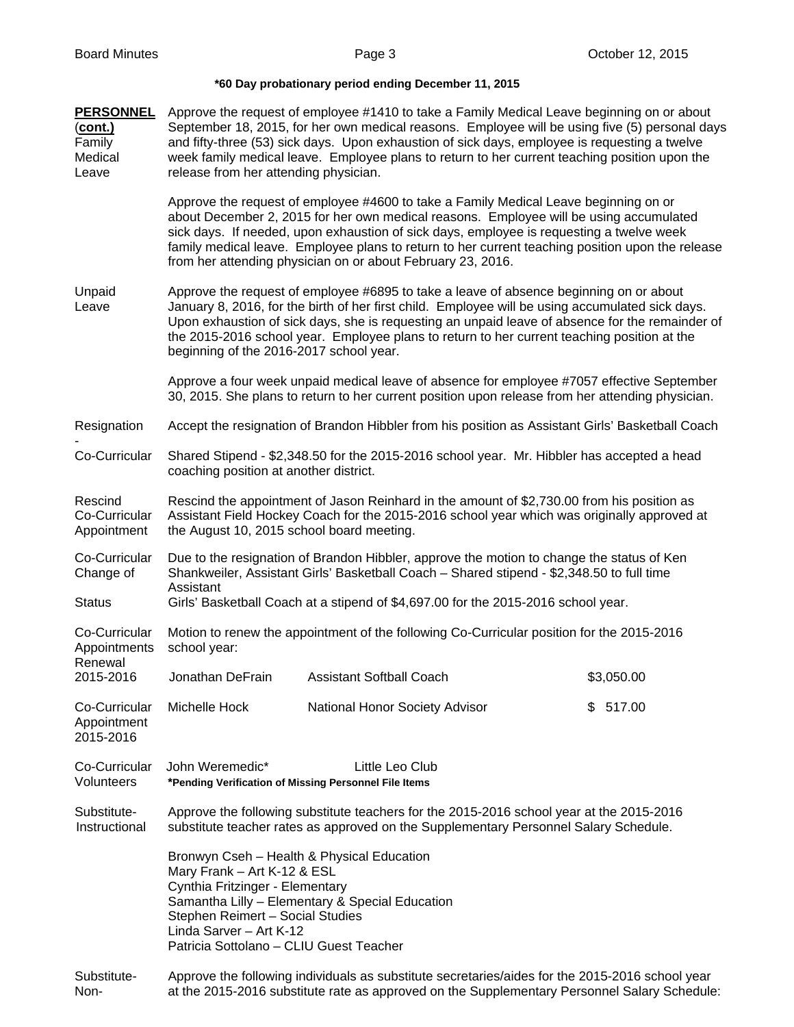## **\*60 Day probationary period ending December 11, 2015**

| <b>PERSONNEL</b><br>$(cont.)$<br>Family<br>Medical<br>Leave | Approve the request of employee #1410 to take a Family Medical Leave beginning on or about<br>September 18, 2015, for her own medical reasons. Employee will be using five (5) personal days<br>and fifty-three (53) sick days. Upon exhaustion of sick days, employee is requesting a twelve<br>week family medical leave. Employee plans to return to her current teaching position upon the<br>release from her attending physician. |                                                                                                                                                                                                                                                                                                                                                                                                                                               |            |  |
|-------------------------------------------------------------|-----------------------------------------------------------------------------------------------------------------------------------------------------------------------------------------------------------------------------------------------------------------------------------------------------------------------------------------------------------------------------------------------------------------------------------------|-----------------------------------------------------------------------------------------------------------------------------------------------------------------------------------------------------------------------------------------------------------------------------------------------------------------------------------------------------------------------------------------------------------------------------------------------|------------|--|
|                                                             |                                                                                                                                                                                                                                                                                                                                                                                                                                         | Approve the request of employee #4600 to take a Family Medical Leave beginning on or<br>about December 2, 2015 for her own medical reasons. Employee will be using accumulated<br>sick days. If needed, upon exhaustion of sick days, employee is requesting a twelve week<br>family medical leave. Employee plans to return to her current teaching position upon the release<br>from her attending physician on or about February 23, 2016. |            |  |
| Unpaid<br>Leave                                             | Approve the request of employee #6895 to take a leave of absence beginning on or about<br>January 8, 2016, for the birth of her first child. Employee will be using accumulated sick days.<br>Upon exhaustion of sick days, she is requesting an unpaid leave of absence for the remainder of<br>the 2015-2016 school year. Employee plans to return to her current teaching position at the<br>beginning of the 2016-2017 school year. |                                                                                                                                                                                                                                                                                                                                                                                                                                               |            |  |
|                                                             |                                                                                                                                                                                                                                                                                                                                                                                                                                         | Approve a four week unpaid medical leave of absence for employee #7057 effective September<br>30, 2015. She plans to return to her current position upon release from her attending physician.                                                                                                                                                                                                                                                |            |  |
| Resignation                                                 | Accept the resignation of Brandon Hibbler from his position as Assistant Girls' Basketball Coach                                                                                                                                                                                                                                                                                                                                        |                                                                                                                                                                                                                                                                                                                                                                                                                                               |            |  |
| Co-Curricular                                               | Shared Stipend - \$2,348.50 for the 2015-2016 school year. Mr. Hibbler has accepted a head<br>coaching position at another district.                                                                                                                                                                                                                                                                                                    |                                                                                                                                                                                                                                                                                                                                                                                                                                               |            |  |
| Rescind<br>Co-Curricular<br>Appointment                     | Rescind the appointment of Jason Reinhard in the amount of \$2,730.00 from his position as<br>Assistant Field Hockey Coach for the 2015-2016 school year which was originally approved at<br>the August 10, 2015 school board meeting.                                                                                                                                                                                                  |                                                                                                                                                                                                                                                                                                                                                                                                                                               |            |  |
| Co-Curricular<br>Change of                                  | Due to the resignation of Brandon Hibbler, approve the motion to change the status of Ken<br>Shankweiler, Assistant Girls' Basketball Coach - Shared stipend - \$2,348.50 to full time<br>Assistant                                                                                                                                                                                                                                     |                                                                                                                                                                                                                                                                                                                                                                                                                                               |            |  |
| <b>Status</b>                                               | Girls' Basketball Coach at a stipend of \$4,697.00 for the 2015-2016 school year.                                                                                                                                                                                                                                                                                                                                                       |                                                                                                                                                                                                                                                                                                                                                                                                                                               |            |  |
| Co-Curricular<br>Appointments                               | Motion to renew the appointment of the following Co-Curricular position for the 2015-2016<br>school year:                                                                                                                                                                                                                                                                                                                               |                                                                                                                                                                                                                                                                                                                                                                                                                                               |            |  |
| Renewal<br>2015-2016                                        | Jonathan DeFrain                                                                                                                                                                                                                                                                                                                                                                                                                        | <b>Assistant Softball Coach</b>                                                                                                                                                                                                                                                                                                                                                                                                               | \$3,050.00 |  |
| Co-Curricular<br>Appointment<br>2015-2016                   | Michelle Hock                                                                                                                                                                                                                                                                                                                                                                                                                           | National Honor Society Advisor                                                                                                                                                                                                                                                                                                                                                                                                                | \$517.00   |  |
| Co-Curricular<br>Volunteers                                 | John Weremedic*<br>*Pending Verification of Missing Personnel File Items                                                                                                                                                                                                                                                                                                                                                                | Little Leo Club                                                                                                                                                                                                                                                                                                                                                                                                                               |            |  |
| Substitute-<br>Instructional                                | Approve the following substitute teachers for the 2015-2016 school year at the 2015-2016<br>substitute teacher rates as approved on the Supplementary Personnel Salary Schedule.                                                                                                                                                                                                                                                        |                                                                                                                                                                                                                                                                                                                                                                                                                                               |            |  |
|                                                             | Bronwyn Cseh - Health & Physical Education<br>Mary Frank - Art K-12 & ESL<br>Cynthia Fritzinger - Elementary<br>Stephen Reimert - Social Studies<br>Linda Sarver - Art K-12<br>Patricia Sottolano - CLIU Guest Teacher                                                                                                                                                                                                                  | Samantha Lilly - Elementary & Special Education                                                                                                                                                                                                                                                                                                                                                                                               |            |  |
| Substitute-<br>Non-                                         | Approve the following individuals as substitute secretaries/aides for the 2015-2016 school year<br>at the 2015-2016 substitute rate as approved on the Supplementary Personnel Salary Schedule:                                                                                                                                                                                                                                         |                                                                                                                                                                                                                                                                                                                                                                                                                                               |            |  |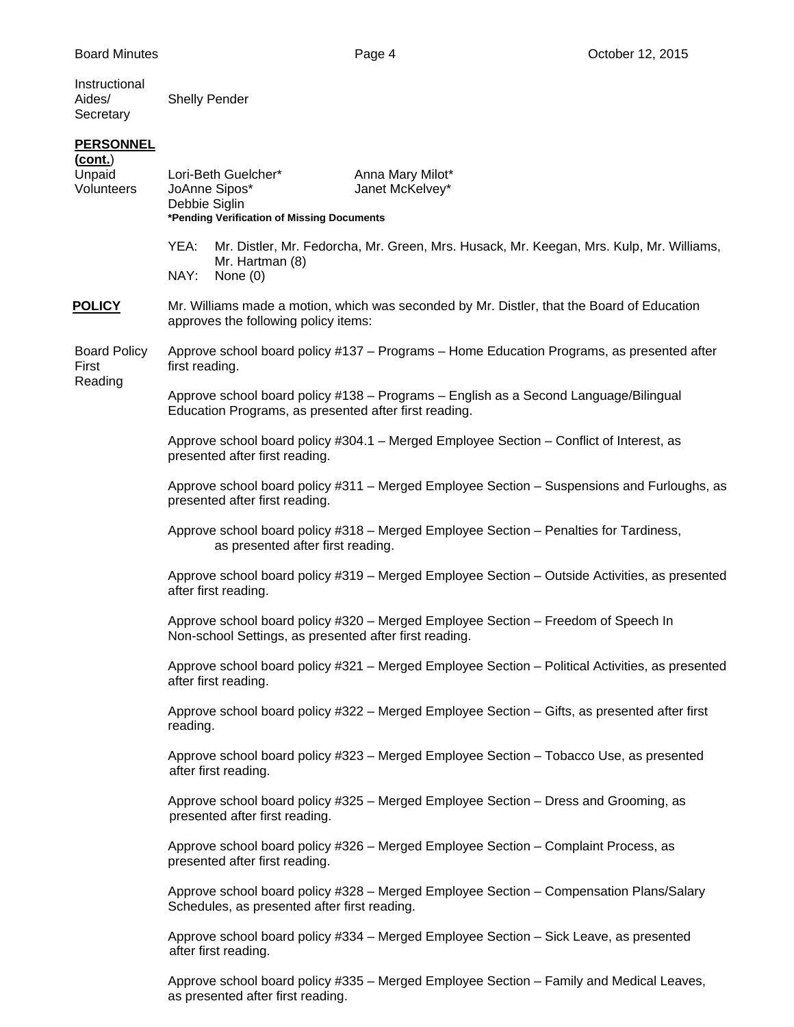Instructional<br>Aides/ Shelly Pender **Secretary** 

## **PERSONNEL**

| (cont.)<br>Unpaid<br>Volunteers         | Lori-Beth Guelcher*<br>Anna Mary Milot*<br>JoAnne Sipos*<br>Janet McKelvey*<br>Debbie Siglin<br>*Pending Verification of Missing Documents    |
|-----------------------------------------|-----------------------------------------------------------------------------------------------------------------------------------------------|
|                                         | YEA:<br>Mr. Distler, Mr. Fedorcha, Mr. Green, Mrs. Husack, Mr. Keegan, Mrs. Kulp, Mr. Williams,<br>Mr. Hartman (8)<br>NAY:                    |
|                                         | None $(0)$                                                                                                                                    |
| <u>POLICY</u>                           | Mr. Williams made a motion, which was seconded by Mr. Distler, that the Board of Education<br>approves the following policy items:            |
| <b>Board Policy</b><br>First<br>Reading | Approve school board policy #137 - Programs - Home Education Programs, as presented after<br>first reading.                                   |
|                                         | Approve school board policy #138 - Programs - English as a Second Language/Bilingual<br>Education Programs, as presented after first reading. |
|                                         | Approve school board policy #304.1 - Merged Employee Section - Conflict of Interest, as<br>presented after first reading.                     |
|                                         | Approve school board policy #311 – Merged Employee Section – Suspensions and Furloughs, as<br>presented after first reading.                  |
|                                         | Approve school board policy #318 - Merged Employee Section - Penalties for Tardiness,<br>as presented after first reading.                    |
|                                         | Approve school board policy #319 - Merged Employee Section - Outside Activities, as presented<br>after first reading.                         |
|                                         | Approve school board policy #320 - Merged Employee Section - Freedom of Speech In<br>Non-school Settings, as presented after first reading.   |
|                                         | Approve school board policy #321 - Merged Employee Section - Political Activities, as presented<br>after first reading.                       |
|                                         | Approve school board policy #322 - Merged Employee Section - Gifts, as presented after first<br>reading.                                      |
|                                         | Approve school board policy #323 - Merged Employee Section - Tobacco Use, as presented<br>after first reading.                                |
|                                         | Approve school board policy #325 - Merged Employee Section - Dress and Grooming, as<br>presented after first reading.                         |
|                                         | Approve school board policy #326 - Merged Employee Section - Complaint Process, as<br>presented after first reading.                          |
|                                         | Approve school board policy #328 - Merged Employee Section - Compensation Plans/Salary<br>Schedules, as presented after first reading.        |
|                                         | Approve school board policy #334 - Merged Employee Section - Sick Leave, as presented<br>after first reading.                                 |
|                                         |                                                                                                                                               |

Approve school board policy #335 – Merged Employee Section – Family and Medical Leaves, as presented after first reading.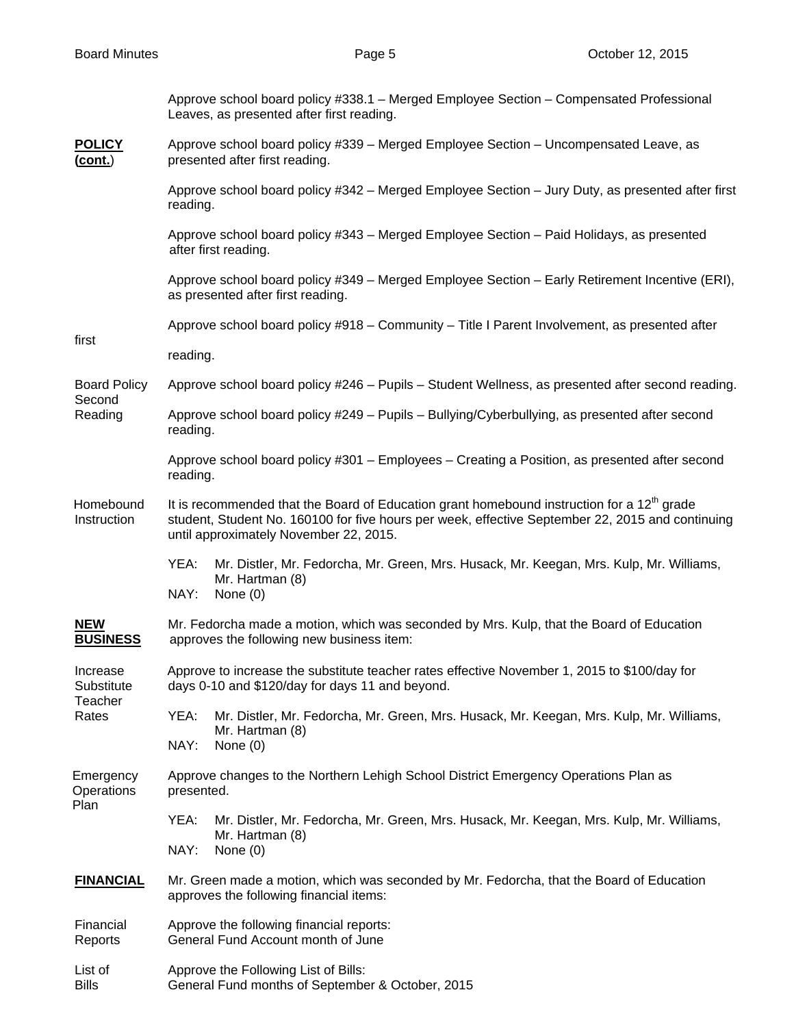|                                            | Approve school board policy #338.1 - Merged Employee Section - Compensated Professional<br>Leaves, as presented after first reading.                                                                                                                 |  |  |  |
|--------------------------------------------|------------------------------------------------------------------------------------------------------------------------------------------------------------------------------------------------------------------------------------------------------|--|--|--|
| <b>POLICY</b><br>(cont.)                   | Approve school board policy #339 - Merged Employee Section - Uncompensated Leave, as<br>presented after first reading.                                                                                                                               |  |  |  |
|                                            | Approve school board policy #342 - Merged Employee Section - Jury Duty, as presented after first<br>reading.                                                                                                                                         |  |  |  |
|                                            | Approve school board policy #343 - Merged Employee Section - Paid Holidays, as presented<br>after first reading.                                                                                                                                     |  |  |  |
|                                            | Approve school board policy #349 - Merged Employee Section - Early Retirement Incentive (ERI),<br>as presented after first reading.                                                                                                                  |  |  |  |
|                                            | Approve school board policy #918 - Community - Title I Parent Involvement, as presented after                                                                                                                                                        |  |  |  |
| first                                      | reading.                                                                                                                                                                                                                                             |  |  |  |
| <b>Board Policy</b>                        | Approve school board policy #246 - Pupils - Student Wellness, as presented after second reading.                                                                                                                                                     |  |  |  |
| Second<br>Reading                          | Approve school board policy #249 - Pupils - Bullying/Cyberbullying, as presented after second<br>reading.                                                                                                                                            |  |  |  |
|                                            | Approve school board policy #301 - Employees - Creating a Position, as presented after second<br>reading.                                                                                                                                            |  |  |  |
| Homebound<br>Instruction                   | It is recommended that the Board of Education grant homebound instruction for a 12 <sup>th</sup> grade<br>student, Student No. 160100 for five hours per week, effective September 22, 2015 and continuing<br>until approximately November 22, 2015. |  |  |  |
|                                            | YEA:<br>Mr. Distler, Mr. Fedorcha, Mr. Green, Mrs. Husack, Mr. Keegan, Mrs. Kulp, Mr. Williams,<br>Mr. Hartman (8)<br>NAY:<br>None $(0)$                                                                                                             |  |  |  |
| <b>NEW</b><br><b>BUSINESS</b>              | Mr. Fedorcha made a motion, which was seconded by Mrs. Kulp, that the Board of Education<br>approves the following new business item:                                                                                                                |  |  |  |
| Increase<br>Substitute<br>Teacher<br>Rates | Approve to increase the substitute teacher rates effective November 1, 2015 to \$100/day for<br>days 0-10 and \$120/day for days 11 and beyond.                                                                                                      |  |  |  |
|                                            | YEA:<br>Mr. Distler, Mr. Fedorcha, Mr. Green, Mrs. Husack, Mr. Keegan, Mrs. Kulp, Mr. Williams,<br>Mr. Hartman (8)<br>NAY:<br>None $(0)$                                                                                                             |  |  |  |
| Emergency<br>Operations<br>Plan            | Approve changes to the Northern Lehigh School District Emergency Operations Plan as<br>presented.                                                                                                                                                    |  |  |  |
|                                            | YEA:<br>Mr. Distler, Mr. Fedorcha, Mr. Green, Mrs. Husack, Mr. Keegan, Mrs. Kulp, Mr. Williams,<br>Mr. Hartman (8)                                                                                                                                   |  |  |  |
|                                            | NAY:<br>None $(0)$                                                                                                                                                                                                                                   |  |  |  |
| <b>FINANCIAL</b>                           | Mr. Green made a motion, which was seconded by Mr. Fedorcha, that the Board of Education<br>approves the following financial items:                                                                                                                  |  |  |  |
| Financial<br>Reports                       | Approve the following financial reports:<br>General Fund Account month of June                                                                                                                                                                       |  |  |  |
| List of<br><b>Bills</b>                    | Approve the Following List of Bills:<br>General Fund months of September & October, 2015                                                                                                                                                             |  |  |  |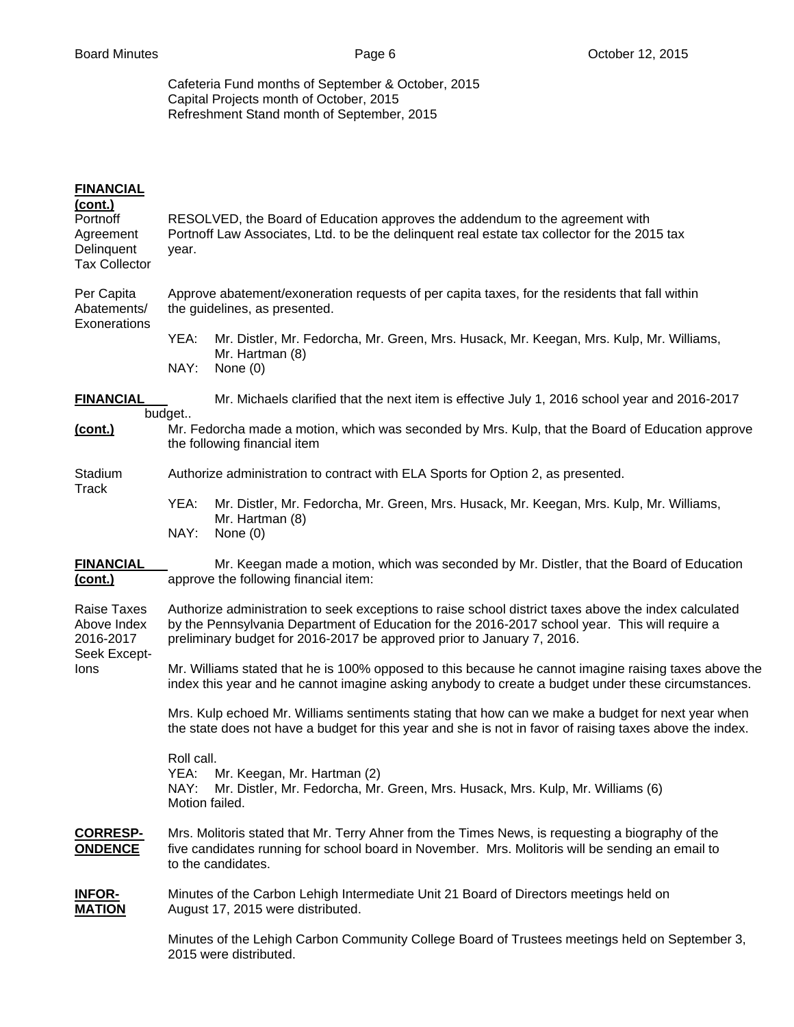Cafeteria Fund months of September & October, 2015 Capital Projects month of October, 2015 Refreshment Stand month of September, 2015

| <b>FINANCIAL</b><br><u>(cont.)</u><br>Portnoff<br>Agreement<br>Delinquent<br><b>Tax Collector</b> | RESOLVED, the Board of Education approves the addendum to the agreement with<br>Portnoff Law Associates, Ltd. to be the delinquent real estate tax collector for the 2015 tax<br>year.                                                                                            |  |  |
|---------------------------------------------------------------------------------------------------|-----------------------------------------------------------------------------------------------------------------------------------------------------------------------------------------------------------------------------------------------------------------------------------|--|--|
| Per Capita<br>Abatements/<br>Exonerations                                                         | Approve abatement/exoneration requests of per capita taxes, for the residents that fall within<br>the guidelines, as presented.                                                                                                                                                   |  |  |
|                                                                                                   | YEA:<br>Mr. Distler, Mr. Fedorcha, Mr. Green, Mrs. Husack, Mr. Keegan, Mrs. Kulp, Mr. Williams,<br>Mr. Hartman (8)<br>NAY:<br>None $(0)$                                                                                                                                          |  |  |
| <b>FINANCIAL</b>                                                                                  | Mr. Michaels clarified that the next item is effective July 1, 2016 school year and 2016-2017                                                                                                                                                                                     |  |  |
| (cont.)                                                                                           | budget<br>Mr. Fedorcha made a motion, which was seconded by Mrs. Kulp, that the Board of Education approve<br>the following financial item                                                                                                                                        |  |  |
| Stadium<br>Track                                                                                  | Authorize administration to contract with ELA Sports for Option 2, as presented.                                                                                                                                                                                                  |  |  |
|                                                                                                   | YEA:<br>Mr. Distler, Mr. Fedorcha, Mr. Green, Mrs. Husack, Mr. Keegan, Mrs. Kulp, Mr. Williams,<br>Mr. Hartman (8)<br>NAY:<br>None $(0)$                                                                                                                                          |  |  |
| <b>FINANCIAL</b><br><u>(cont.)</u>                                                                | Mr. Keegan made a motion, which was seconded by Mr. Distler, that the Board of Education<br>approve the following financial item:                                                                                                                                                 |  |  |
| Raise Taxes<br>Above Index<br>2016-2017<br>Seek Except-<br>lons                                   | Authorize administration to seek exceptions to raise school district taxes above the index calculated<br>by the Pennsylvania Department of Education for the 2016-2017 school year. This will require a<br>preliminary budget for 2016-2017 be approved prior to January 7, 2016. |  |  |
|                                                                                                   | Mr. Williams stated that he is 100% opposed to this because he cannot imagine raising taxes above the<br>index this year and he cannot imagine asking anybody to create a budget under these circumstances.                                                                       |  |  |
|                                                                                                   | Mrs. Kulp echoed Mr. Williams sentiments stating that how can we make a budget for next year when<br>the state does not have a budget for this year and she is not in favor of raising taxes above the index.                                                                     |  |  |
|                                                                                                   | Roll call.<br>YEA:<br>Mr. Keegan, Mr. Hartman (2)<br>NAY:<br>Mr. Distler, Mr. Fedorcha, Mr. Green, Mrs. Husack, Mrs. Kulp, Mr. Williams (6)<br>Motion failed.                                                                                                                     |  |  |
| <b>CORRESP-</b><br><b>ONDENCE</b>                                                                 | Mrs. Molitoris stated that Mr. Terry Ahner from the Times News, is requesting a biography of the<br>five candidates running for school board in November. Mrs. Molitoris will be sending an email to<br>to the candidates.                                                        |  |  |
| <b>INFOR-</b><br><b>MATION</b>                                                                    | Minutes of the Carbon Lehigh Intermediate Unit 21 Board of Directors meetings held on<br>August 17, 2015 were distributed.                                                                                                                                                        |  |  |
|                                                                                                   | Minutes of the Lehigh Carbon Community College Board of Trustees meetings held on September 3,<br>2015 were distributed.                                                                                                                                                          |  |  |